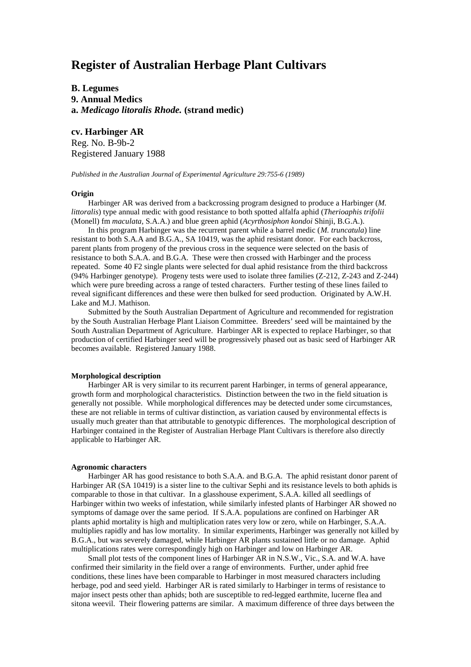# **Register of Australian Herbage Plant Cultivars**

**B. Legumes 9. Annual Medics a.** *Medicago litoralis Rhode.* **(strand medic)**

**cv. Harbinger AR** Reg. No. B-9b-2 Registered January 1988

*Published in the Australian Journal of Experimental Agriculture 29:755-6 (1989)*

### **Origin**

Harbinger AR was derived from a backcrossing program designed to produce a Harbinger (*M. littoralis*) type annual medic with good resistance to both spotted alfalfa aphid (*Therioaphis trifolii* (Monell) fm *maculata,* S.A.A.) and blue green aphid (*Acyrthosiphon kondoi* Shinji, B.G.A.).

In this program Harbinger was the recurrent parent while a barrel medic (*M. truncatula*) line resistant to both S.A.A and B.G.A., SA 10419, was the aphid resistant donor. For each backcross, parent plants from progeny of the previous cross in the sequence were selected on the basis of resistance to both S.A.A. and B.G.A. These were then crossed with Harbinger and the process repeated. Some 40 F2 single plants were selected for dual aphid resistance from the third backcross (94% Harbinger genotype). Progeny tests were used to isolate three families (Z-212, Z-243 and Z-244) which were pure breeding across a range of tested characters. Further testing of these lines failed to reveal significant differences and these were then bulked for seed production. Originated by A.W.H. Lake and M.J. Mathison.

Submitted by the South Australian Department of Agriculture and recommended for registration by the South Australian Herbage Plant Liaison Committee. Breeders' seed will be maintained by the South Australian Department of Agriculture. Harbinger AR is expected to replace Harbinger, so that production of certified Harbinger seed will be progressively phased out as basic seed of Harbinger AR becomes available. Registered January 1988.

## **Morphological description**

Harbinger AR is very similar to its recurrent parent Harbinger, in terms of general appearance, growth form and morphological characteristics. Distinction between the two in the field situation is generally not possible. While morphological differences may be detected under some circumstances, these are not reliable in terms of cultivar distinction, as variation caused by environmental effects is usually much greater than that attributable to genotypic differences. The morphological description of Harbinger contained in the Register of Australian Herbage Plant Cultivars is therefore also directly applicable to Harbinger AR.

#### **Agronomic characters**

Harbinger AR has good resistance to both S.A.A. and B.G.A. The aphid resistant donor parent of Harbinger AR (SA 10419) is a sister line to the cultivar Sephi and its resistance levels to both aphids is comparable to those in that cultivar. In a glasshouse experiment, S.A.A. killed all seedlings of Harbinger within two weeks of infestation, while similarly infested plants of Harbinger AR showed no symptoms of damage over the same period. If S.A.A. populations are confined on Harbinger AR plants aphid mortality is high and multiplication rates very low or zero, while on Harbinger, S.A.A. multiplies rapidly and has low mortality. In similar experiments, Harbinger was generally not killed by B.G.A., but was severely damaged, while Harbinger AR plants sustained little or no damage. Aphid multiplications rates were correspondingly high on Harbinger and low on Harbinger AR.

Small plot tests of the component lines of Harbinger AR in N.S.W., Vic., S.A. and W.A. have confirmed their similarity in the field over a range of environments. Further, under aphid free conditions, these lines have been comparable to Harbinger in most measured characters including herbage, pod and seed yield. Harbinger AR is rated similarly to Harbinger in terms of resistance to major insect pests other than aphids; both are susceptible to red-legged earthmite, lucerne flea and sitona weevil. Their flowering patterns are similar. A maximum difference of three days between the